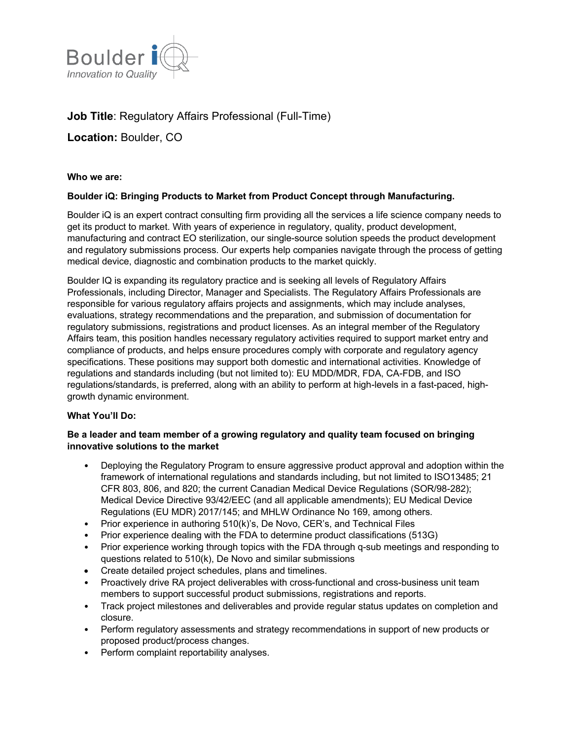

# **Job Title**: Regulatory Affairs Professional (Full-Time)

**Location:** Boulder, CO

**Who we are:** 

#### **Boulder iQ: Bringing Products to Market from Product Concept through Manufacturing.**

Boulder iQ is an expert contract consulting firm providing all the services a life science company needs to get its product to market. With years of experience in regulatory, quality, product development, manufacturing and contract EO sterilization, our single-source solution speeds the product development and regulatory submissions process. Our experts help companies navigate through the process of getting medical device, diagnostic and combination products to the market quickly.

Boulder IQ is expanding its regulatory practice and is seeking all levels of Regulatory Affairs Professionals, including Director, Manager and Specialists. The Regulatory Affairs Professionals are responsible for various regulatory affairs projects and assignments, which may include analyses, evaluations, strategy recommendations and the preparation, and submission of documentation for regulatory submissions, registrations and product licenses. As an integral member of the Regulatory Affairs team, this position handles necessary regulatory activities required to support market entry and compliance of products, and helps ensure procedures comply with corporate and regulatory agency specifications. These positions may support both domestic and international activities. Knowledge of regulations and standards including (but not limited to): EU MDD/MDR, FDA, CA-FDB, and ISO regulations/standards, is preferred, along with an ability to perform at high-levels in a fast-paced, highgrowth dynamic environment.

### **What You'll Do:**

#### **Be a leader and team member of a growing regulatory and quality team focused on bringing innovative solutions to the market**

- Deploying the Regulatory Program to ensure aggressive product approval and adoption within the framework of international regulations and standards including, but not limited to ISO13485; 21 CFR 803, 806, and 820; the current Canadian Medical Device Regulations (SOR/98-282); Medical Device Directive 93/42/EEC (and all applicable amendments); EU Medical Device Regulations (EU MDR) 2017/145; and MHLW Ordinance No 169, among others.
- Prior experience in authoring 510(k)'s, De Novo, CER's, and Technical Files
- Prior experience dealing with the FDA to determine product classifications (513G)
- Prior experience working through topics with the FDA through q-sub meetings and responding to questions related to 510(k), De Novo and similar submissions
- Create detailed project schedules, plans and timelines.
- Proactively drive RA project deliverables with cross-functional and cross-business unit team members to support successful product submissions, registrations and reports.
- Track project milestones and deliverables and provide regular status updates on completion and closure.
- Perform regulatory assessments and strategy recommendations in support of new products or proposed product/process changes.
- Perform complaint reportability analyses.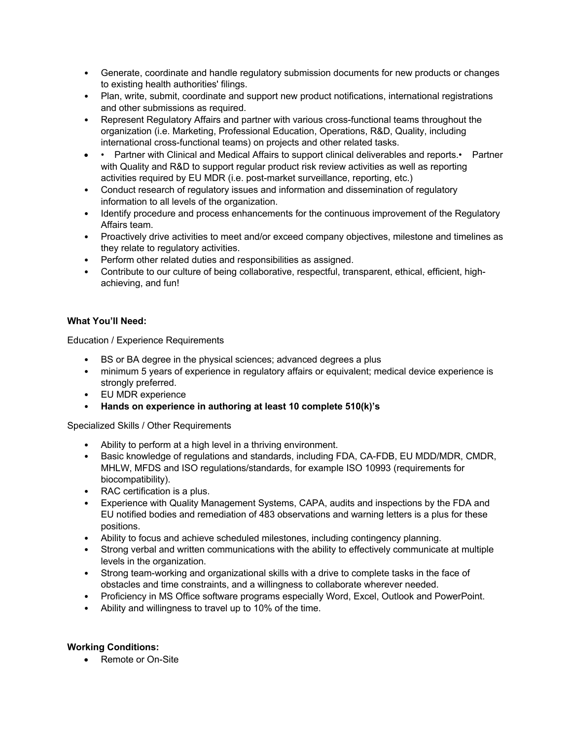- Generate, coordinate and handle regulatory submission documents for new products or changes to existing health authorities' filings.
- Plan, write, submit, coordinate and support new product notifications, international registrations and other submissions as required.
- Represent Regulatory Affairs and partner with various cross-functional teams throughout the organization (i.e. Marketing, Professional Education, Operations, R&D, Quality, including international cross-functional teams) on projects and other related tasks.
- • Partner with Clinical and Medical Affairs to support clinical deliverables and reports.• Partner with Quality and R&D to support regular product risk review activities as well as reporting activities required by EU MDR (i.e. post-market surveillance, reporting, etc.)
- Conduct research of regulatory issues and information and dissemination of regulatory information to all levels of the organization.
- Identify procedure and process enhancements for the continuous improvement of the Regulatory Affairs team.
- Proactively drive activities to meet and/or exceed company objectives, milestone and timelines as they relate to regulatory activities.
- Perform other related duties and responsibilities as assigned.
- Contribute to our culture of being collaborative, respectful, transparent, ethical, efficient, highachieving, and fun!

## **What You'll Need:**

Education / Experience Requirements

- BS or BA degree in the physical sciences; advanced degrees a plus
- minimum 5 years of experience in regulatory affairs or equivalent; medical device experience is strongly preferred.
- EU MDR experience
- **Hands on experience in authoring at least 10 complete 510(k)'s**

Specialized Skills / Other Requirements

- Ability to perform at a high level in a thriving environment.
- Basic knowledge of regulations and standards, including FDA, CA-FDB, EU MDD/MDR, CMDR, MHLW, MFDS and ISO regulations/standards, for example ISO 10993 (requirements for biocompatibility).
- RAC certification is a plus.
- Experience with Quality Management Systems, CAPA, audits and inspections by the FDA and EU notified bodies and remediation of 483 observations and warning letters is a plus for these positions.
- Ability to focus and achieve scheduled milestones, including contingency planning.
- Strong verbal and written communications with the ability to effectively communicate at multiple levels in the organization.
- Strong team-working and organizational skills with a drive to complete tasks in the face of obstacles and time constraints, and a willingness to collaborate wherever needed.
- Proficiency in MS Office software programs especially Word, Excel, Outlook and PowerPoint.
- Ability and willingness to travel up to 10% of the time.

#### **Working Conditions:**

• Remote or On-Site